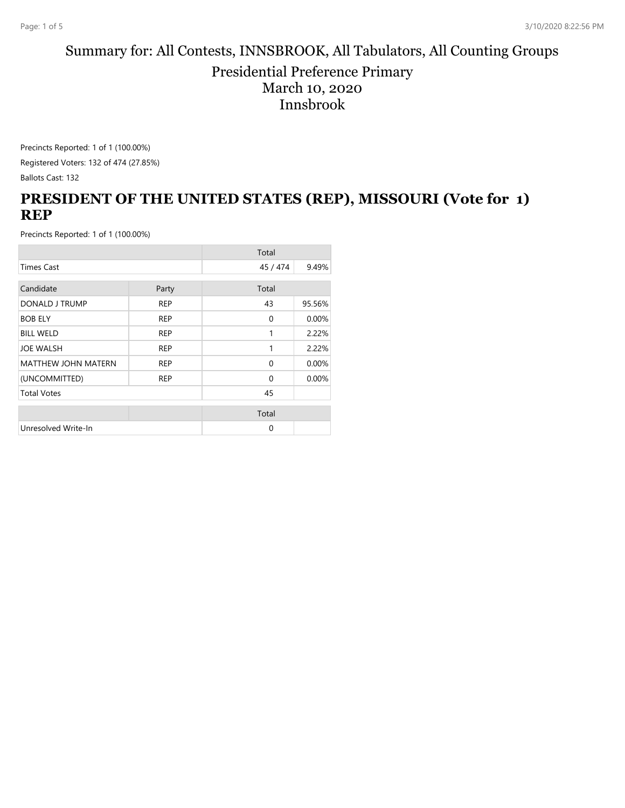#### Summary for: All Contests, INNSBROOK, All Tabulators, All Counting Groups Presidential Preference Primary March 10, 2020 Innsbrook

Precincts Reported: 1 of 1 (100.00%)

Registered Voters: 132 of 474 (27.85%)

Ballots Cast: 132

## **PRESIDENT OF THE UNITED STATES (REP), MISSOURI (Vote for 1) REP**

|                            |            | Total        |        |
|----------------------------|------------|--------------|--------|
| <b>Times Cast</b>          |            | 45 / 474     | 9.49%  |
| Candidate                  | Party      | Total        |        |
| DONALD J TRUMP             | <b>REP</b> | 43           | 95.56% |
| <b>BOB ELY</b>             | <b>REP</b> | $\mathbf{0}$ | 0.00%  |
| <b>BILL WELD</b>           | <b>REP</b> | 1            | 2.22%  |
| <b>JOE WALSH</b>           | <b>REP</b> | 1            | 2.22%  |
| <b>MATTHEW JOHN MATERN</b> | <b>REP</b> | $\Omega$     | 0.00%  |
| (UNCOMMITTED)              | <b>REP</b> | $\Omega$     | 0.00%  |
| <b>Total Votes</b>         |            | 45           |        |
|                            |            | Total        |        |
| Unresolved Write-In        |            | $\Omega$     |        |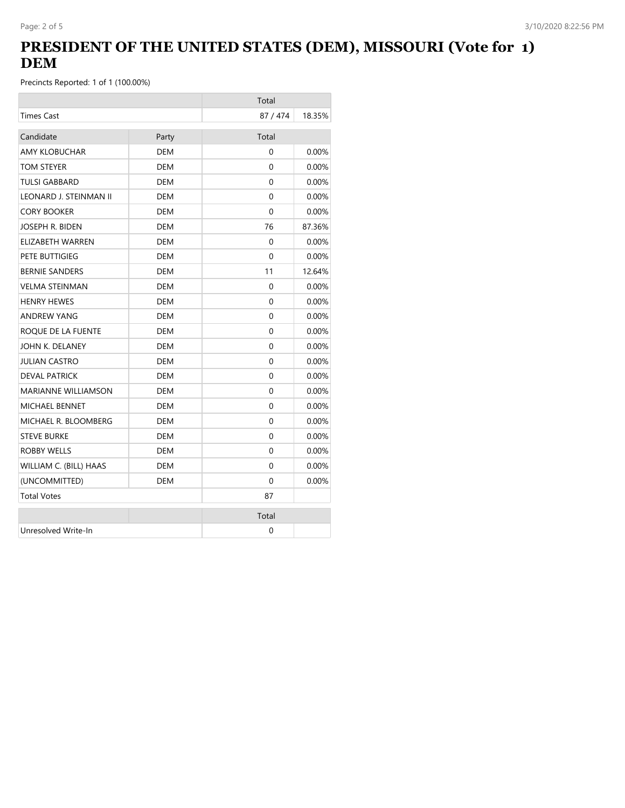# **PRESIDENT OF THE UNITED STATES (DEM), MISSOURI (Vote for 1) DEM**

|                            |            | Total    |          |
|----------------------------|------------|----------|----------|
| <b>Times Cast</b>          |            | 87 / 474 | 18.35%   |
| Candidate                  | Party      | Total    |          |
| <b>AMY KLOBUCHAR</b>       | <b>DEM</b> | $\Omega$ | 0.00%    |
| TOM STEYER                 | <b>DEM</b> | $\Omega$ | 0.00%    |
| <b>TULSI GABBARD</b>       | <b>DEM</b> | $\Omega$ | 0.00%    |
| LEONARD J. STEINMAN II     | <b>DEM</b> | 0        | 0.00%    |
| <b>CORY BOOKER</b>         | <b>DEM</b> | $\Omega$ | 0.00%    |
| JOSEPH R. BIDEN            | <b>DEM</b> | 76       | 87.36%   |
| ELIZABETH WARREN           | <b>DEM</b> | $\Omega$ | 0.00%    |
| PETE BUTTIGIEG             | <b>DEM</b> | $\Omega$ | 0.00%    |
| <b>BERNIE SANDERS</b>      | <b>DEM</b> | 11       | 12.64%   |
| <b>VELMA STEINMAN</b>      | <b>DEM</b> | 0        | 0.00%    |
| <b>HENRY HEWES</b>         | DEM        | $\Omega$ | $0.00\%$ |
| <b>ANDREW YANG</b>         | DEM        | 0        | 0.00%    |
| ROQUE DE LA FUENTE         | DEM        | 0        | $0.00\%$ |
| JOHN K. DELANEY            | <b>DEM</b> | 0        | 0.00%    |
| <b>JULIAN CASTRO</b>       | DEM        | $\Omega$ | $0.00\%$ |
| <b>DEVAL PATRICK</b>       | <b>DEM</b> | 0        | 0.00%    |
| <b>MARIANNE WILLIAMSON</b> | DEM        | 0        | $0.00\%$ |
| <b>MICHAEL BENNET</b>      | <b>DEM</b> | 0        | 0.00%    |
| MICHAEL R. BLOOMBERG       | DEM        | 0        | $0.00\%$ |
| <b>STEVE BURKE</b>         | <b>DEM</b> | $\Omega$ | 0.00%    |
| <b>ROBBY WELLS</b>         | DEM        | $\Omega$ | $0.00\%$ |
| WILLIAM C. (BILL) HAAS     | <b>DEM</b> | $\Omega$ | 0.00%    |
| (UNCOMMITTED)              | DEM        | 0        | $0.00\%$ |
| <b>Total Votes</b>         |            | 87       |          |
|                            |            | Total    |          |
| Unresolved Write-In        |            | 0        |          |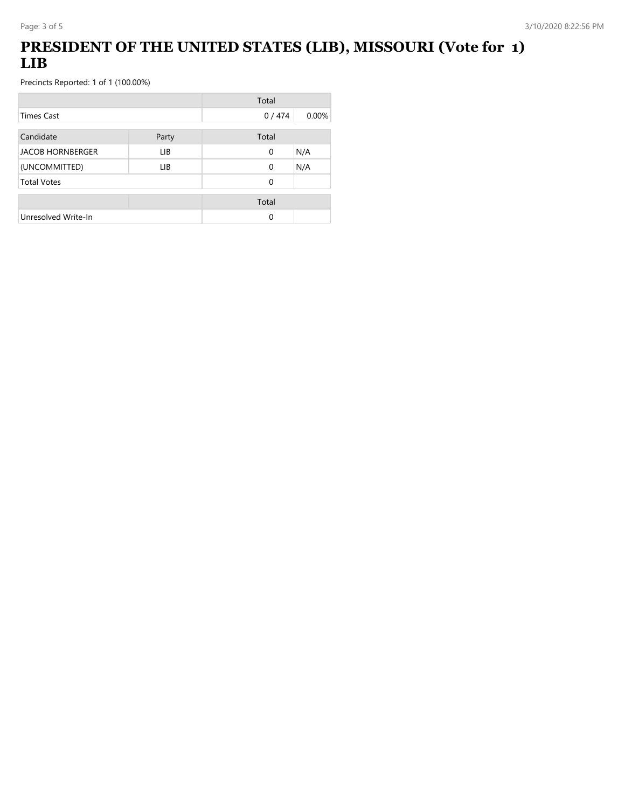# **PRESIDENT OF THE UNITED STATES (LIB), MISSOURI (Vote for 1) LIB**

|                         |       | Total    |       |
|-------------------------|-------|----------|-------|
| <b>Times Cast</b>       |       | 0/474    | 0.00% |
| Candidate               | Party | Total    |       |
| <b>JACOB HORNBERGER</b> | LIB.  | 0        | N/A   |
| (UNCOMMITTED)           | LIB.  | 0        | N/A   |
| <b>Total Votes</b>      |       | $\Omega$ |       |
|                         |       | Total    |       |
| Unresolved Write-In     |       | 0        |       |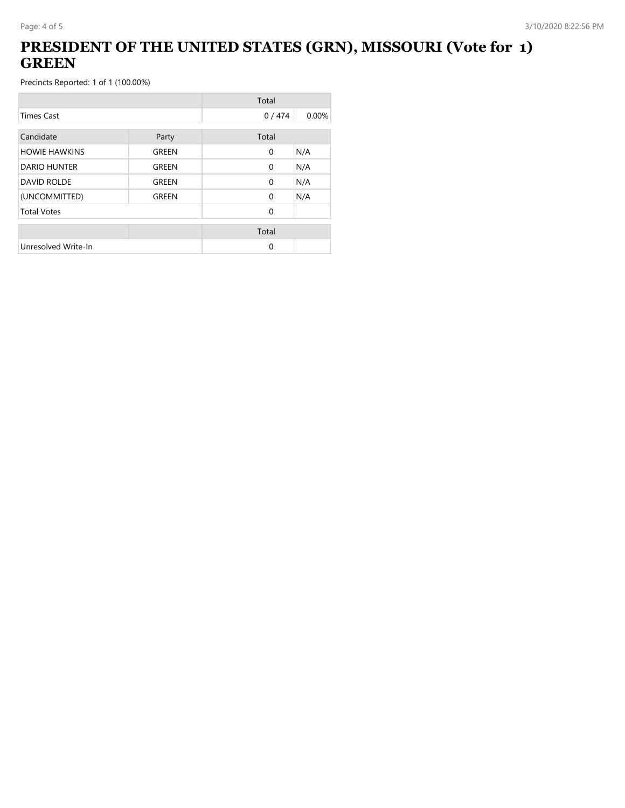# **PRESIDENT OF THE UNITED STATES (GRN), MISSOURI (Vote for 1) GREEN**

|                      |       | Total        |       |
|----------------------|-------|--------------|-------|
| <b>Times Cast</b>    |       | 0/474        | 0.00% |
| Candidate            | Party | Total        |       |
| <b>HOWIE HAWKINS</b> | GREEN | $\mathbf{0}$ | N/A   |
| <b>DARIO HUNTER</b>  | GREEN | $\mathbf{0}$ | N/A   |
| <b>DAVID ROLDE</b>   | GREEN | $\mathbf{0}$ | N/A   |
| (UNCOMMITTED)        | GREEN | $\Omega$     | N/A   |
| <b>Total Votes</b>   |       | $\Omega$     |       |
|                      |       | Total        |       |
| Unresolved Write-In  |       | 0            |       |